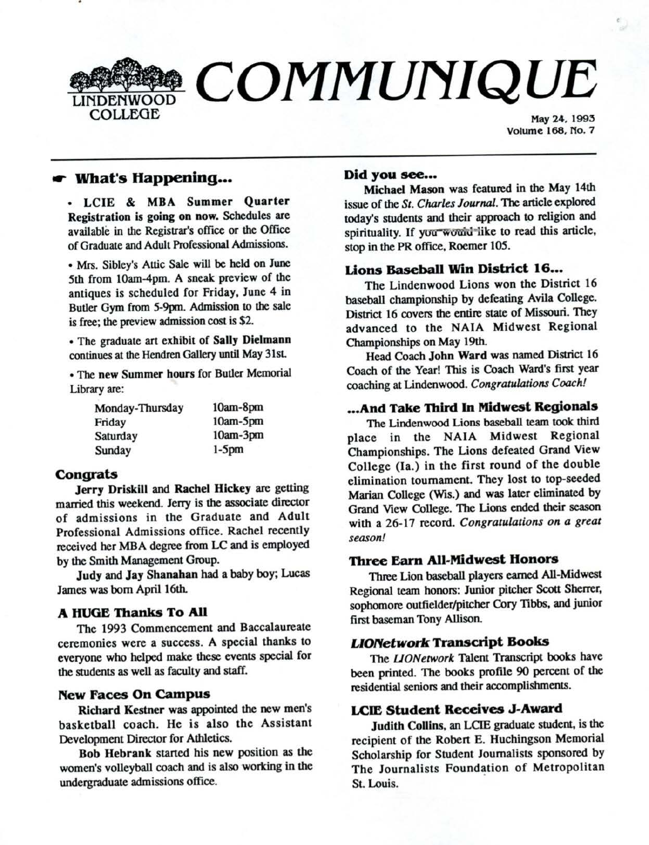

Volume 168, No. 7

# ,.. **What's Happening •••**

• LCIE & MBA Summer Quarter Registration is going **on now.** Schedules are available in the Registrar's office or the Office of Graduale and Adult Professional Admissions.

• Mrs. Sibley's Attic Sale **will be** held on June 5th from 10am-4pm. A sneak preview of the antiques is scheduled for Friday, June 4 in Butler Gym from 5-9pm. Admission to the sale is free; the preview admission cost is \$2.

• The graduate art exhibit of **Sally Dielmann**  continues at the Hendren Gallery until May 31st

• The new Summer **hours** for Butler Memorial Library are:

| Monday-Thursday | $10am-8pm$ |
|-----------------|------------|
| Friday          | 10am-5pm   |
| Saturday        | 10am-3pm   |
| Sunday          | $1-5$ pm   |

## **Congrats**

**Jerry Driskill and Rachel Hickey** are getting married this weekend. Jerry is the associate director of admissions in the Graduate and Adult Professional Admissions office. Rachel recently received her MBA degree from LC and is employed by the Smith Management Group.

**Judy** and **Jay Shanahan** had a baby boy; Lucas James was born April 16th.

## **A HUGE Thanks To All**

The 1993 Commencement and Baccalaureate ceremonies were a success. A special thanks to everyone who helped make these events special for the students as well as faculty and staff.

#### **New Faces On Campus**

**Richard Kestner** was appointed the new men's basketball coach. He is also the Assistant Development Director for Athletics.

Bob Hebrank started his new position as the women's volleyball coach and is also working in the undergraduate admissions office.

# **Did you see...**

**Michael Mason** was featured in the May 14th issue of the *St. Charles Journal*. The article explored today's students and their approach to religion and spirituality. If you would like to read this article, stop in the PR office, Roemer 105.

# **Uons Baseball Win Disbict 16 •••**

The Lindenwood Lions won the District 16 baseball championship by defeating Avila College. District 16 covers the entire state of Missouri. They advanced to the NAIA Midwest Regional Championships on May 19th.

Head Coach John **Ward** was named District 16 Coach of the Year! This is Coach Ward's first year coaching at Lindenwood. *Congratulations Coach!* 

# **••• And Take 1bird** In **Midwest Regionals**

The Lindenwood Lions baseball team took third place in the NAIA Midwest Regional Championships. The Lions defeated Grand View College (Ia.) in the first round of the double elimination tournament. They lost to top-seeded Marian College (Wis.) and was later eliminated by Grand View College. The Lions ended their season with a 26-17 record. *Congratulations on a great season!* 

# **'Dlree Earn All-Midwest Honors**

Three Lion baseball players earned All-Midwest Regional team honors: Junior pitcher Scott Sherrer, sophomore outfielder/pitcher Cory Tibbs, and junior first baseman Tony Allison.

#### **LIO/Yetwork Transcript Books**

The *UONetwork* Talent Transcript books have been printed. The books profile 90 percent of the residential seniors and their accomplishments.

# **LCIE Student Receives J-Award**

**Judith** Collins, an LCIE graduate student. is the recipient of the Robert E. Huchingson Memorial Scholarship for Student Journalists sponsored by The Journalists Foundation of Metropolitan SL Louis.